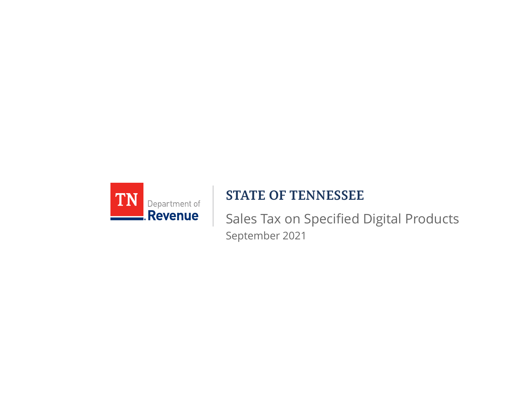

#### **STATE OF TENNESSEE**

Sales Tax on Specified Digital Products September 2021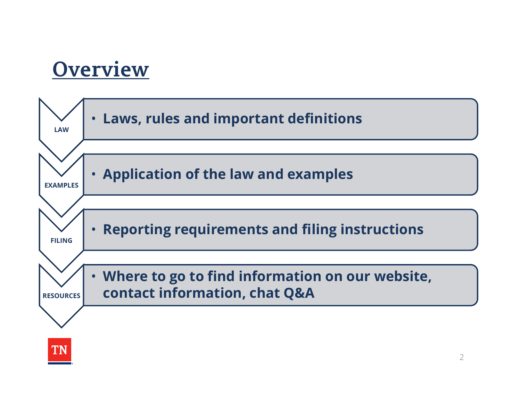#### **Overview**

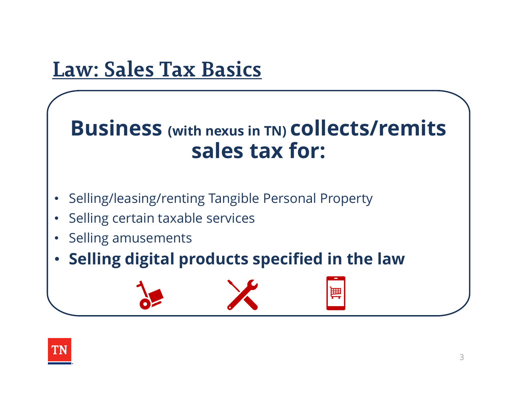#### **Law: Sales Tax Basics**

#### **Business (with nexus in TN) collects/remits sales tax for:**

壨

- •Selling/leasing/renting Tangible Personal Property
- •Selling certain taxable services
- •Selling amusements
- **Selling digital products specified in the law**

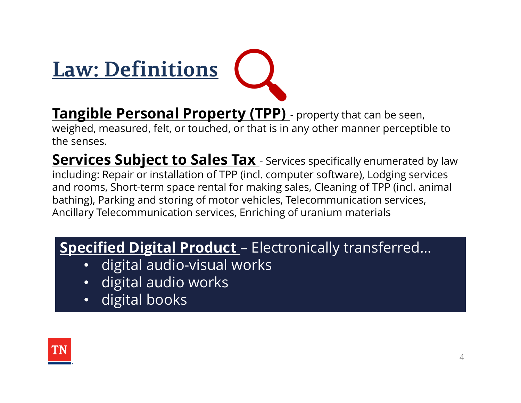

**Tangible Personal Property (TPP)** - property that can be seen, weighed, measured, felt, or touched, or that is in any other manner perceptible to the senses.

**Services Subject to Sales Tax** - Services specifically enumerated by law including: Repair or installation of TPP (incl. computer software), Lodging services and rooms, Short-term space rental for making sales, Cleaning of TPP (incl. animal bathing), Parking and storing of motor vehicles, Telecommunication services, Ancillary Telecommunication services, Enriching of uranium materials

#### **Specified Digital Product** – Electronically transferred…

- •digital audio-visual works
- •digital audio works
- •digital books

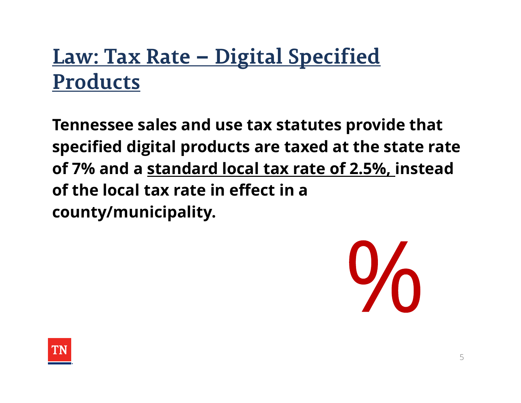#### **Law: Tax Rate – Digital Specified Products**

**Tennessee sales and use tax statutes provide that specified digital products are taxed at the state rate of 7% and a standard local tax rate of 2.5%, instead of the local tax rate in effect in a county/municipality.**



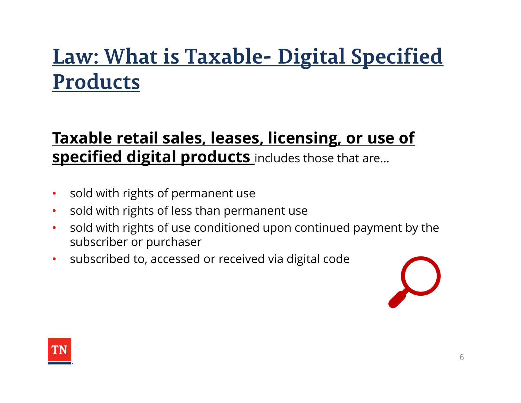### **Law: What is Taxable- Digital Specified Products**

#### **Taxable retail sales, leases, licensing, or use of specified digital products** includes those that are…

- $\bullet$ sold with rights of permanent use
- $\bullet$ sold with rights of less than permanent use
- $\bullet$  sold with rights of use conditioned upon continued payment by the subscriber or purchaser
- $\bullet$ subscribed to, accessed or received via digital code



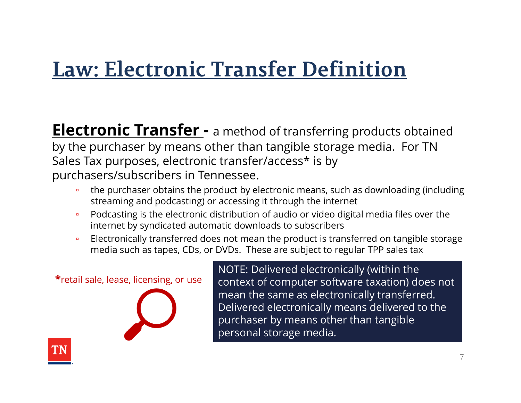#### **Law: Electronic Transfer Definition**

**Electronic Transfer -** a method of transferring products obtained by the purchaser by means other than tangible storage media. For TN Sales Tax purposes, electronic transfer/access\* is by purchasers/subscribers in Tennessee.

- the purchaser obtains the product by electronic means, such as downloading (including streaming and podcasting) or accessing it through the internet
- $\Box$  Podcasting is the electronic distribution of audio or video digital media files over the internet by syndicated automatic downloads to subscribers
- $\Box$  Electronically transferred does not mean the product is transferred on tangible storage media such as tapes, CDs, or DVDs. These are subject to regular TPP sales tax

**\***retail sale, lease, licensing, or use NOTE: Delivered electronically (within the context of computer software taxation) does not mean the same as electronically transferred. Delivered electronically means delivered to the purchaser by means other than tangible personal storage media.

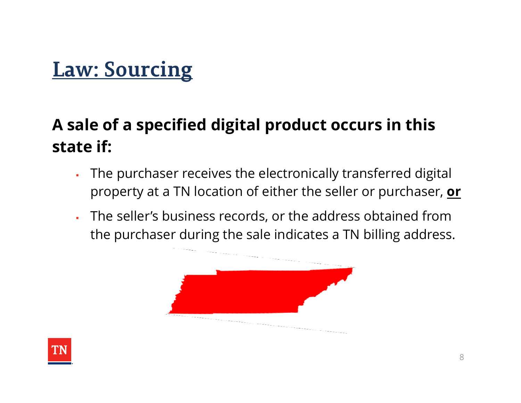#### **Law: Sourcing**

#### **A sale of a specified digital product occurs in this state if:**

- The purchaser receives the electronically transferred digital property at a TN location of either the seller or purchaser, **or**
- п The seller's business records, or the address obtained from the purchaser during the sale indicates a TN billing address.



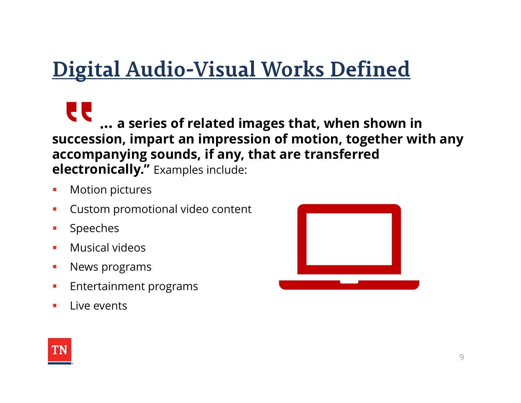### **Digital Audio-Visual Works Defined**

**… a series of related images that, when shown in succession, impart an impression of motion, together with any accompanying sounds, if any, that are transferred electronically."** Examples include:

- $\mathcal{L}_{\mathcal{A}}$ Motion pictures
- $\mathcal{L}_{\mathcal{A}}$ Custom promotional video content
- $\mathcal{L}_{\mathcal{A}}$ Speeches
- $\blacksquare$ Musical videos
- $\mathcal{L}_{\mathcal{A}}$ News programs
- $\mathcal{C}^{\mathcal{A}}$ Entertainment programs
- $\blacksquare$ Live events



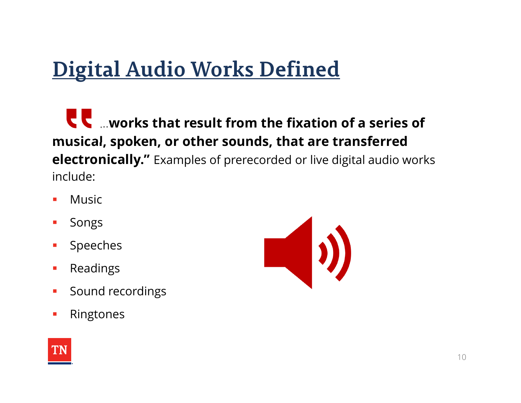## **Digital Audio Works Defined**

…**works that result from the fixation of a series of musical, spoken, or other sounds, that are transferred electronically."** Examples of prerecorded or live digital audio works include:

- $\mathcal{L}_{\mathcal{A}}$ Music
- $\mathcal{L}_{\mathcal{A}}$ Songs
- $\mathcal{L}_{\mathcal{A}}$ Speeches
- $\mathcal{L}_{\mathcal{A}}$ Readings
- $\mathcal{L}_{\mathcal{A}}$ Sound recordings
- $\mathcal{L}_{\mathcal{A}}$ Ringtones



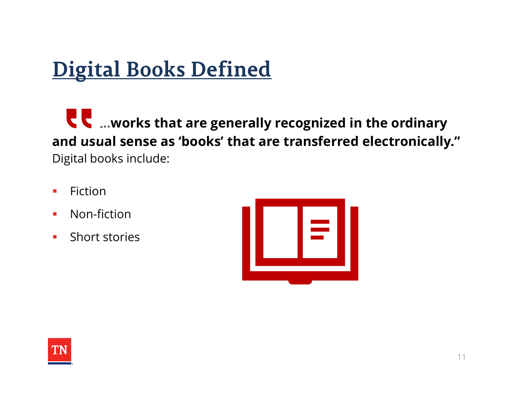## **Digital Books Defined**

**Letterst 20 metally recognized in the ordinary and usual sense as 'books' that are transferred electronically."**  Digital books include:

- $\mathcal{L}_{\mathcal{A}}$ Fiction
- $\mathcal{L}_{\mathcal{A}}$ Non-fiction
- $\mathcal{L}_{\mathcal{A}}$ Short stories



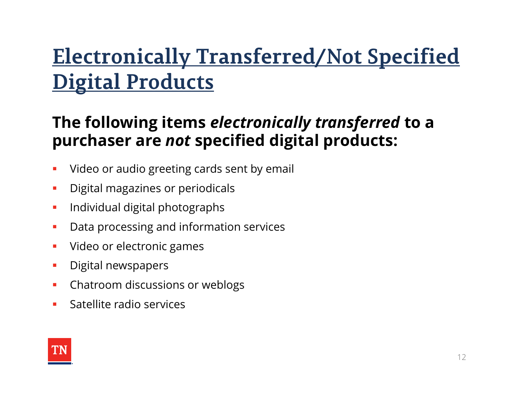## **Electronically Transferred/Not Specified Digital Products**

#### **The following items** *electronically transferred* **to a purchaser are** *not* **specified digital products:**

- $\mathcal{L}_{\mathcal{A}}$ Video or audio greeting cards sent by email
- $\mathcal{L}_{\mathcal{A}}$ Digital magazines or periodicals
- $\mathcal{C}^{\mathcal{A}}$ Individual digital photographs
- $\mathcal{L}_{\mathcal{A}}$ Data processing and information services
- $\mathcal{L}_{\mathcal{A}}$ Video or electronic games
- $\mathcal{L}_{\mathcal{A}}$ Digital newspapers
- $\mathcal{L}_{\mathcal{A}}$ Chatroom discussions or weblogs
- $\mathbf{r}$ Satellite radio services

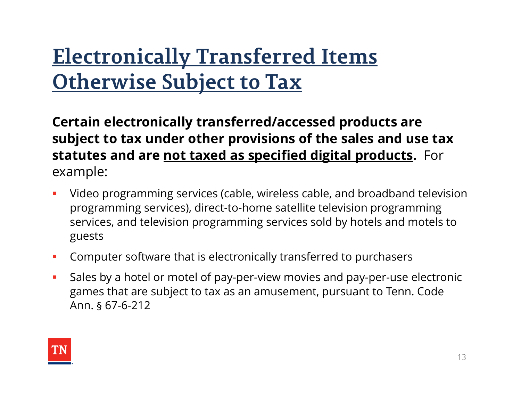## **Electronically Transferred Items Otherwise Subject to Tax**

**Certain electronically transferred/accessed products are subject to tax under other provisions of the sales and use tax statutes and are not taxed as specified digital products.** For example:

- $\mathcal{L}_{\mathcal{A}}$  Video programming services (cable, wireless cable, and broadband television programming services), direct-to-home satellite television programming services, and television programming services sold by hotels and motels to guests
- $\mathcal{L}_{\mathcal{A}}$ Computer software that is electronically transferred to purchasers
- $\overline{\phantom{a}}$  Sales by a hotel or motel of pay-per-view movies and pay-per-use electronic games that are subject to tax as an amusement, pursuant to Tenn. Code Ann. § 67-6-212

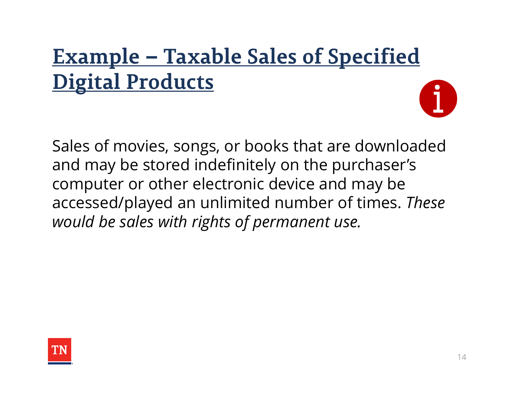# **Example – Taxable Sales of Specified Digital Products**

Sales of movies, songs, or books that are downloaded and may be stored indefinitely on the purchaser's computer or other electronic device and may be accessed/played an unlimited number of times. *These would be sales with rights of permanent use.*

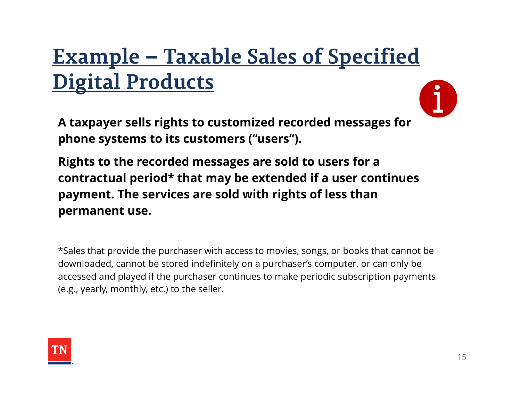# **Example – Taxable Sales of Specified Digital Products**

**A taxpayer sells rights to customized recorded messages for phone systems to its customers ("users").** 

**Rights to the recorded messages are sold to users for a contractual period\* that may be extended if a user continues payment. The services are sold with rights of less than permanent use.**

\*Sales that provide the purchaser with access to movies, songs, or books that cannot be downloaded, cannot be stored indefinitely on a purchaser's computer, or can only be accessed and played if the purchaser continues to make periodic subscription payments (e.g., yearly, monthly, etc.) to the seller.

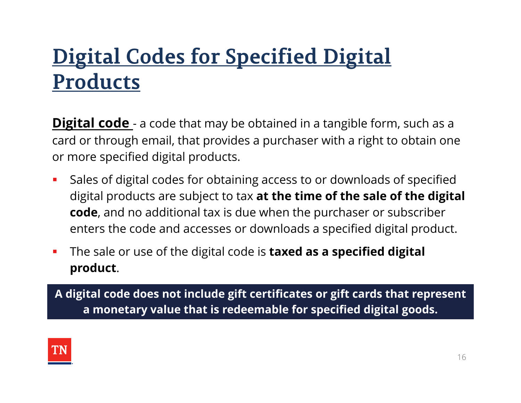## **Digital Codes for Specified Digital Products**

**Digital code** - a code that may be obtained in a tangible form, such as a card or through email, that provides a purchaser with a right to obtain one or more specified digital products.

- $\mathcal{L}_{\mathcal{A}}$  Sales of digital codes for obtaining access to or downloads of specified digital products are subject to tax **at the time of the sale of the digital code**, and no additional tax is due when the purchaser or subscriber enters the code and accesses or downloads a specified digital product.
- $\mathcal{L}_{\mathcal{A}}$  The sale or use of the digital code is **taxed as a specified digital product**.

**A digital code does not include gift certificates or gift cards that represent a monetary value that is redeemable for specified digital goods.**

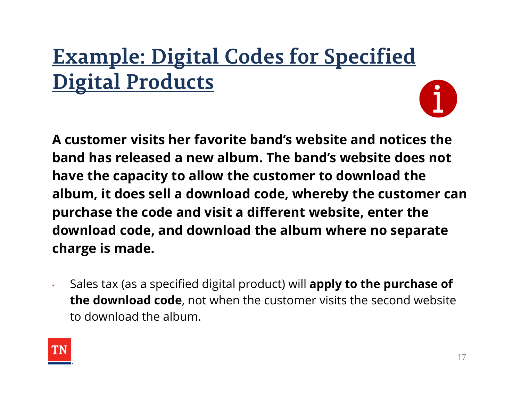# **Example: Digital Codes for Specified Digital Products**

**A customer visits her favorite band's website and notices the band has released a new album. The band's website does not have the capacity to allow the customer to download the album, it does sell a download code, whereby the customer can purchase the code and visit a different website, enter the download code, and download the album where no separate charge is made.** 

• Sales tax (as a specified digital product) will **apply to the purchase of the download code**, not when the customer visits the second website to download the album.

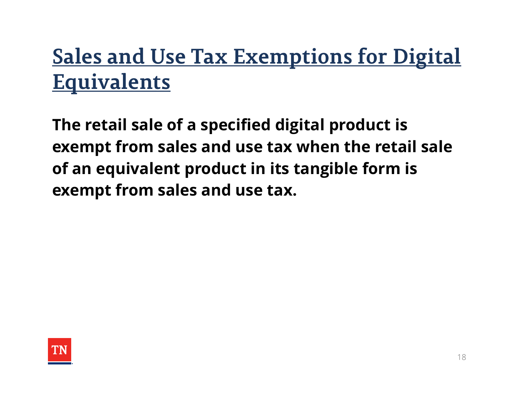## **Sales and Use Tax Exemptions for Digital Equivalents**

**The retail sale of a specified digital product is exempt from sales and use tax when the retail sale of an equivalent product in its tangible form is exempt from sales and use tax.** 

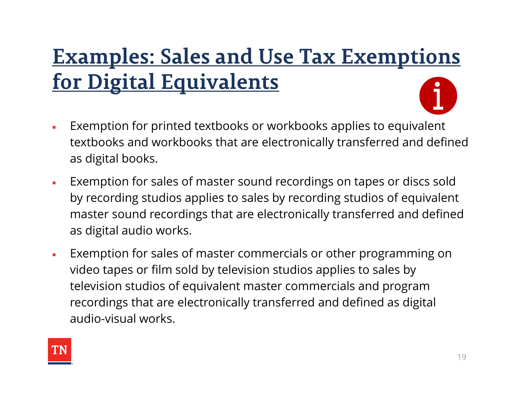# **Examples: Sales and Use Tax Exemptions for Digital Equivalents**

- $\blacksquare$  Exemption for printed textbooks or workbooks applies to equivalent textbooks and workbooks that are electronically transferred and defined as digital books.
- $\blacksquare$  Exemption for sales of master sound recordings on tapes or discs sold by recording studios applies to sales by recording studios of equivalent master sound recordings that are electronically transferred and defined as digital audio works.
- $\overline{\phantom{a}}$  Exemption for sales of master commercials or other programming on video tapes or film sold by television studios applies to sales by television studios of equivalent master commercials and program recordings that are electronically transferred and defined as digital audio-visual works.

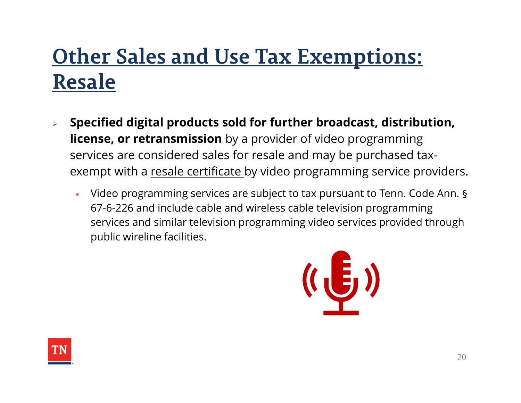## **Other Sales and Use Tax Exemptions: Resale**

- $\blacktriangleright$  **Specified digital products sold for further broadcast, distribution, license, or retransmission** by a provider of video programming services are considered sales for resale and may be purchased taxexempt with a resale certificate by video programming service providers.
	- Video programming services are subject to tax pursuant to Tenn. Code Ann. § 67-6-226 and include cable and wireless cable television programming services and similar television programming video services provided through public wireline facilities.



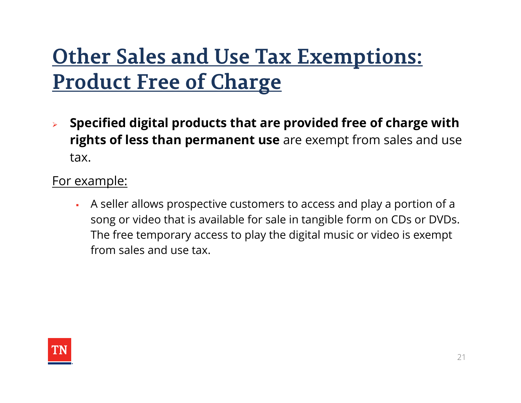## **Other Sales and Use Tax Exemptions: Product Free of Charge**

 $\blacktriangleright$  **Specified digital products that are provided free of charge with rights of less than permanent use** are exempt from sales and use tax.

#### For example:

 A seller allows prospective customers to access and play a portion of a song or video that is available for sale in tangible form on CDs or DVDs. The free temporary access to play the digital music or video is exempt from sales and use tax.

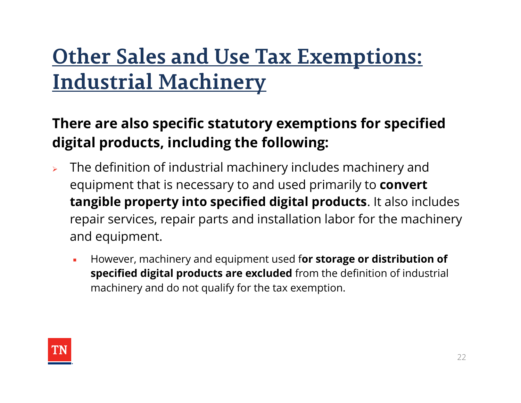## **Other Sales and Use Tax Exemptions: Industrial Machinery**

#### **There are also specific statutory exemptions for specified digital products, including the following:**

- $\blacktriangleright$  The definition of industrial machinery includes machinery and equipment that is necessary to and used primarily to **convert tangible property into specified digital products**. It also includes repair services, repair parts and installation labor for the machinery and equipment.
	- È, However, machinery and equipment used f**or storage or distribution of specified digital products are excluded** from the definition of industrial machinery and do not qualify for the tax exemption.

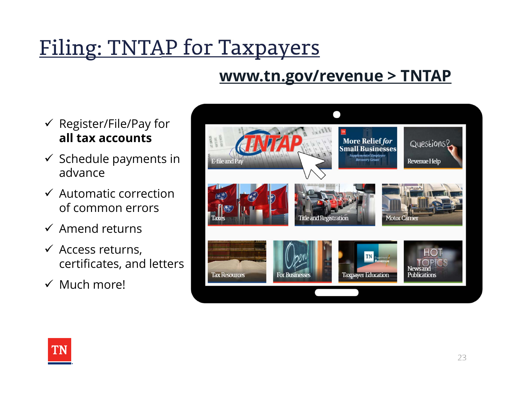# Filing: TNTAP for Taxpayers

#### **www.tn.gov/revenue > TNTAP**

- $\checkmark$  Register/File/Pay for **all tax accounts**
- $\checkmark$  Schedule payments in advance
- $\checkmark$  Automatic correction of common errors
- $\checkmark$  Amend returns
- $\checkmark$  Access returns, certificates, and letters
- $\checkmark$  Much more!



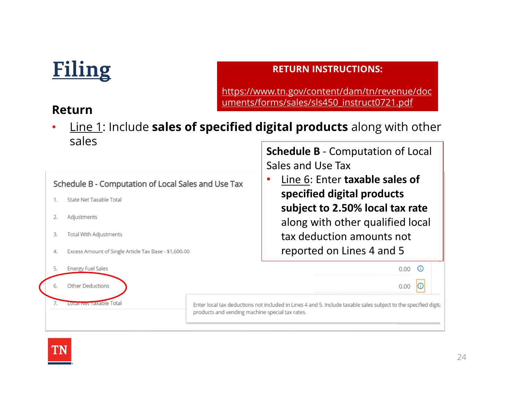## **Filing**

#### **RETURN INSTRUCTIONS:**

https://www.tn.gov/content/dam/tn/revenue/doc uments/forms/sales/sls450\_instruct0721.pdf

#### **Return**

• Line 1: Include **sales of specified digital products** along with other sales**Schedule B** ‐ Computation of Local

Sales and Use Tax Line 6: Enter **taxable sales of**  •Schedule B - Computation of Local Sales and Use Tax **specified digital products**  State Net Taxable Total  $1$ . **subject to 2.50% local tax rate** 2. Adjustments along with other qualified local 3. **Total With Adjustments** tax deduction amounts not reported on Lines 4 and 54. Excess Amount of Single Article Tax Base - \$1,600.00  $0.00$   $\odot$ 5. **Energy Fuel Sales** Other Deductions  $0.00$  $\circ$ 6. Local Net Taxable Total Enter local tax deductions not included in Lines 4 and 5. Include taxable sales subject to the specified digita products and vending machine special tax rates.

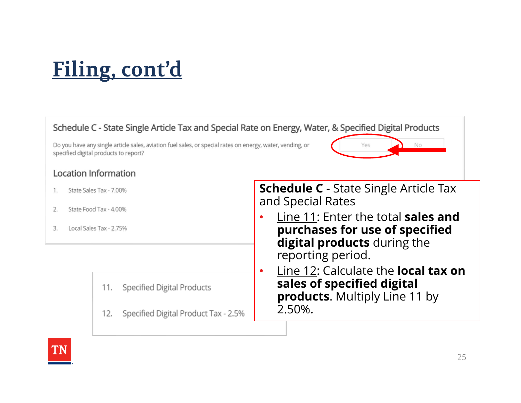# **Filing, cont'd**

#### Schedule C - State Single Article Tax and Special Rate on Energy, Water, & Specified Digital Products

Do you have any single article sales, aviation fuel sales, or special rates on energy, water, vending, or specified digital products to report?

#### **Location Information**

- State Sales Tax 7.00%  $1.$
- $2.$ State Food Tax - 4.00%
- Local Sales Tax 2.75% 3.

**Specified Digital Products** 11.

Specified Digital Product Tax - 2.5% 12.

**Schedule C** - State Single Article Tax and Special Rates

Yρς

No

- • Line 11: Enter the total **sales and purchases for use of specified digital products** during the reporting period.
- • Line 12: Calculate the **local tax on sales of specified digital products**. Multiply Line 11 by 2.50%.